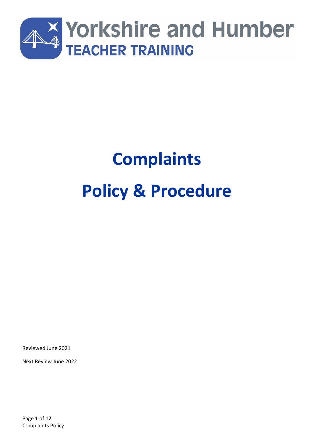

# **Complaints Policy & Procedure**

Reviewed June 2021

Next Review June 2022

Page **1** of **12** Complaints Policy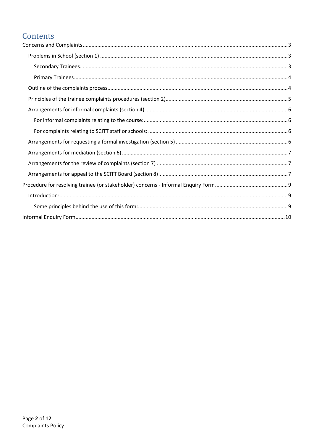# Contents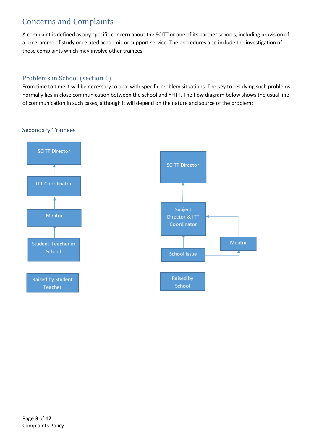# <span id="page-2-0"></span>Concerns and Complaints

A complaint is defined as any specific concern about the SCITT or one of its partner schools, including provision of a programme of study or related academic or support service. The procedures also include the investigation of those complaints which may involve other trainees.

# <span id="page-2-1"></span>Problems in School (section 1)

From time to time it will be necessary to deal with specific problem situations. The key to resolving such problems normally lies in close communication between the school and YHTT. The flow diagram below shows the usual line of communication in such cases, although it will depend on the nature and source of the problem:

#### <span id="page-2-2"></span>Secondary Trainees



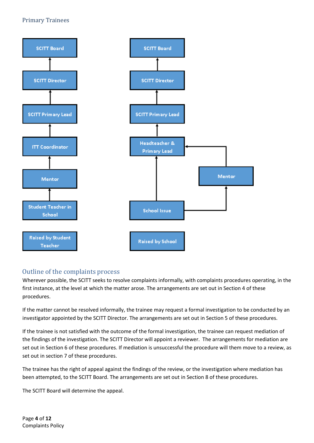## <span id="page-3-0"></span>Primary Trainees



# <span id="page-3-1"></span>Outline of the complaints process

Wherever possible, the SCITT seeks to resolve complaints informally, with complaints procedures operating, in the first instance, at the level at which the matter arose. The arrangements are set out in Section 4 of these procedures.

If the matter cannot be resolved informally, the trainee may request a formal investigation to be conducted by an investigator appointed by the SCITT Director. The arrangements are set out in Section 5 of these procedures.

If the trainee is not satisfied with the outcome of the formal investigation, the trainee can request mediation of the findings of the investigation. The SCITT Director will appoint a reviewer. The arrangements for mediation are set out in Section 6 of these procedures. If mediation is unsuccessful the procedure will them move to a review, as set out in section 7 of these procedures.

The trainee has the right of appeal against the findings of the review, or the investigation where mediation has been attempted, to the SCITT Board. The arrangements are set out in Section 8 of these procedures.

The SCITT Board will determine the appeal.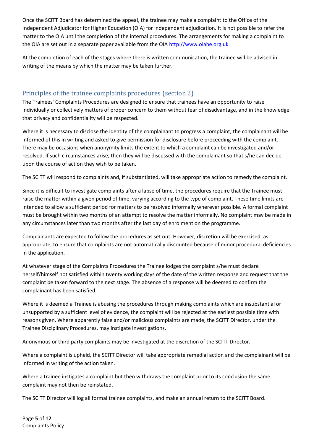Once the SCITT Board has determined the appeal, the trainee may make a complaint to the Office of the Independent Adjudicator for Higher Education (OIA) for independent adjudication. It is not possible to refer the matter to the OIA until the completion of the internal procedures. The arrangements for making a complaint to the OIA are set out in a separate paper available from the OIA [http://www.oiahe.org.uk](http://www.oiahe.org.uk/)

At the completion of each of the stages where there is written communication, the trainee will be advised in writing of the means by which the matter may be taken further.

## <span id="page-4-0"></span>Principles of the trainee complaints procedures (section 2)

The Trainees' Complaints Procedures are designed to ensure that trainees have an opportunity to raise individually or collectively matters of proper concern to them without fear of disadvantage, and in the knowledge that privacy and confidentiality will be respected.

Where it is necessary to disclose the identity of the complainant to progress a complaint, the complainant will be informed of this in writing and asked to give permission for disclosure before proceeding with the complaint. There may be occasions when anonymity limits the extent to which a complaint can be investigated and/or resolved. If such circumstances arise, then they will be discussed with the complainant so that s/he can decide upon the course of action they wish to be taken.

The SCITT will respond to complaints and, if substantiated, will take appropriate action to remedy the complaint.

Since it is difficult to investigate complaints after a lapse of time, the procedures require that the Trainee must raise the matter within a given period of time, varying according to the type of complaint. These time limits are intended to allow a sufficient period for matters to be resolved informally wherever possible. A formal complaint must be brought within two months of an attempt to resolve the matter informally. No complaint may be made in any circumstances later than two months after the last day of enrolment on the programme.

Complainants are expected to follow the procedures as set out. However, discretion will be exercised, as appropriate, to ensure that complaints are not automatically discounted because of minor procedural deficiencies in the application.

At whatever stage of the Complaints Procedures the Trainee lodges the complaint s/he must declare herself/himself not satisfied within twenty working days of the date of the written response and request that the complaint be taken forward to the next stage. The absence of a response will be deemed to confirm the complainant has been satisfied.

Where it is deemed a Trainee is abusing the procedures through making complaints which are insubstantial or unsupported by a sufficient level of evidence, the complaint will be rejected at the earliest possible time with reasons given. Where apparently false and/or malicious complaints are made, the SCITT Director, under the Trainee Disciplinary Procedures, may instigate investigations.

Anonymous or third party complaints may be investigated at the discretion of the SCITT Director.

Where a complaint is upheld, the SCITT Director will take appropriate remedial action and the complainant will be informed in writing of the action taken.

Where a trainee instigates a complaint but then withdraws the complaint prior to its conclusion the same complaint may not then be reinstated.

The SCITT Director will log all formal trainee complaints, and make an annual return to the SCITT Board.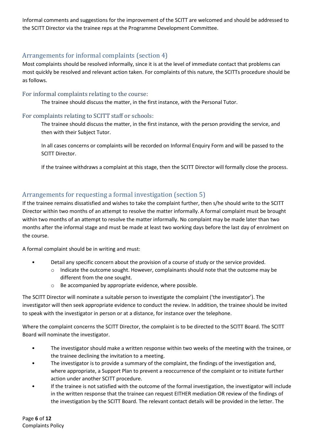Informal comments and suggestions for the improvement of the SCITT are welcomed and should be addressed to the SCITT Director via the trainee reps at the Programme Development Committee.

## <span id="page-5-0"></span>Arrangements for informal complaints (section 4)

Most complaints should be resolved informally, since it is at the level of immediate contact that problems can most quickly be resolved and relevant action taken. For complaints of this nature, the SCITTs procedure should be as follows.

#### <span id="page-5-1"></span>For informal complaints relating to the course:

The trainee should discuss the matter, in the first instance, with the Personal Tutor.

#### <span id="page-5-2"></span>For complaints relating to SCITT staff or schools:

The trainee should discuss the matter, in the first instance, with the person providing the service, and then with their Subject Tutor.

In all cases concerns or complaints will be recorded on Informal Enquiry Form and will be passed to the SCITT Director.

If the trainee withdraws a complaint at this stage, then the SCITT Director will formally close the process.

### <span id="page-5-3"></span>Arrangements for requesting a formal investigation (section 5)

If the trainee remains dissatisfied and wishes to take the complaint further, then s/he should write to the SCITT Director within two months of an attempt to resolve the matter informally. A formal complaint must be brought within two months of an attempt to resolve the matter informally. No complaint may be made later than two months after the informal stage and must be made at least two working days before the last day of enrolment on the course.

A formal complaint should be in writing and must:

- Detail any specific concern about the provision of a course of study or the service provided.
	- $\circ$  Indicate the outcome sought. However, complainants should note that the outcome may be different from the one sought.
	- o Be accompanied by appropriate evidence, where possible.

The SCITT Director will nominate a suitable person to investigate the complaint ('the investigator'). The investigator will then seek appropriate evidence to conduct the review. In addition, the trainee should be invited to speak with the investigator in person or at a distance, for instance over the telephone.

Where the complaint concerns the SCITT Director, the complaint is to be directed to the SCITT Board. The SCITT Board will nominate the investigator.

- The investigator should make a written response within two weeks of the meeting with the trainee, or the trainee declining the invitation to a meeting.
- The investigator is to provide a summary of the complaint, the findings of the investigation and, where appropriate, a Support Plan to prevent a reoccurrence of the complaint or to initiate further action under another SCITT procedure.
- If the trainee is not satisfied with the outcome of the formal investigation, the investigator will include in the written response that the trainee can request EITHER mediation OR review of the findings of the investigation by the SCITT Board. The relevant contact details will be provided in the letter. The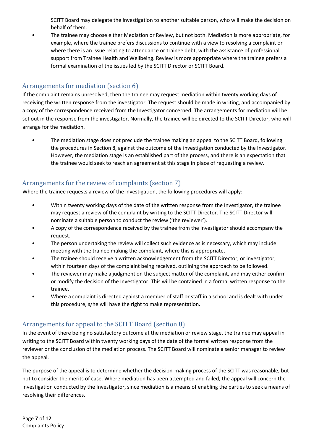SCITT Board may delegate the investigation to another suitable person, who will make the decision on behalf of them.

• The trainee may choose either Mediation or Review, but not both. Mediation is more appropriate, for example, where the trainee prefers discussions to continue with a view to resolving a complaint or where there is an issue relating to attendance or trainee debt, with the assistance of professional support from Trainee Health and Wellbeing. Review is more appropriate where the trainee prefers a formal examination of the issues led by the SCITT Director or SCITT Board.

# <span id="page-6-0"></span>Arrangements for mediation (section 6)

If the complaint remains unresolved, then the trainee may request mediation within twenty working days of receiving the written response from the investigator. The request should be made in writing, and accompanied by a copy of the correspondence received from the Investigator concerned. The arrangements for mediation will be set out in the response from the investigator. Normally, the trainee will be directed to the SCITT Director, who will arrange for the mediation.

• The mediation stage does not preclude the trainee making an appeal to the SCITT Board, following the procedures in Section 8, against the outcome of the investigation conducted by the Investigator. However, the mediation stage is an established part of the process, and there is an expectation that the trainee would seek to reach an agreement at this stage in place of requesting a review.

## <span id="page-6-1"></span>Arrangements for the review of complaints (section 7)

Where the trainee requests a review of the investigation, the following procedures will apply:

- Within twenty working days of the date of the written response from the Investigator, the trainee may request a review of the complaint by writing to the SCITT Director. The SCITT Director will nominate a suitable person to conduct the review ('the reviewer').
- A copy of the correspondence received by the trainee from the Investigator should accompany the request.
- The person undertaking the review will collect such evidence as is necessary, which may include meeting with the trainee making the complaint, where this is appropriate.
- The trainee should receive a written acknowledgement from the SCITT Director, or investigator, within fourteen days of the complaint being received, outlining the approach to be followed.
- The reviewer may make a judgment on the subject matter of the complaint, and may either confirm or modify the decision of the Investigator. This will be contained in a formal written response to the trainee.
- Where a complaint is directed against a member of staff or staff in a school and is dealt with under this procedure, s/he will have the right to make representation.

### <span id="page-6-2"></span>Arrangements for appeal to the SCITT Board (section 8)

In the event of there being no satisfactory outcome at the mediation or review stage, the trainee may appeal in writing to the SCITT Board within twenty working days of the date of the formal written response from the reviewer or the conclusion of the mediation process. The SCITT Board will nominate a senior manager to review the appeal.

The purpose of the appeal is to determine whether the decision-making process of the SCITT was reasonable, but not to consider the merits of case. Where mediation has been attempted and failed, the appeal will concern the investigation conducted by the Investigator, since mediation is a means of enabling the parties to seek a means of resolving their differences.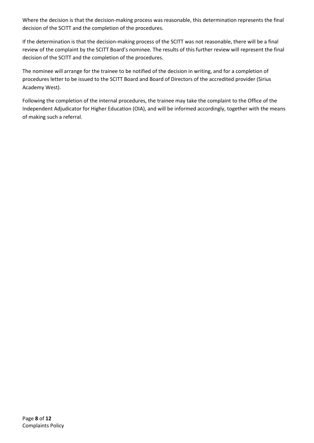Where the decision is that the decision-making process was reasonable, this determination represents the final decision of the SCITT and the completion of the procedures.

If the determination is that the decision-making process of the SCITT was not reasonable, there will be a final review of the complaint by the SCITT Board's nominee. The results of this further review will represent the final decision of the SCITT and the completion of the procedures.

The nominee will arrange for the trainee to be notified of the decision in writing, and for a completion of procedures letter to be issued to the SCITT Board and Board of Directors of the accredited provider (Sirius Academy West).

Following the completion of the internal procedures, the trainee may take the complaint to the Office of the Independent Adjudicator for Higher Education (OIA), and will be informed accordingly, together with the means of making such a referral.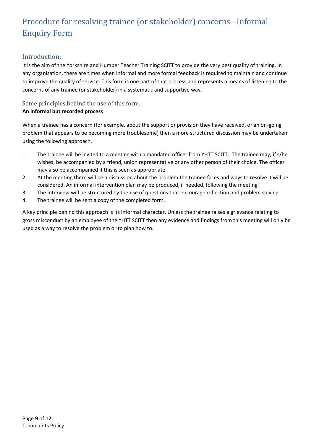# <span id="page-8-0"></span>Procedure for resolving trainee (or stakeholder) concerns - Informal Enquiry Form

#### <span id="page-8-1"></span>Introduction:

It is the aim of the Yorkshire and Humber Teacher Training SCITT to provide the very best quality of training. In any organisation, there are times when informal and more formal feedback is required to maintain and continue to improve the quality of service. This form is one part of that process and represents a means of listening to the concerns of any trainee (or stakeholder) in a systematic and supportive way.

#### <span id="page-8-2"></span>Some principles behind the use of this form:

#### **An informal but recorded process**

When a trainee has a concern (for example, about the support or provision they have received, or an on-going problem that appears to be becoming more troublesome) then a more structured discussion may be undertaken using the following approach.

- 1. The trainee will be invited to a meeting with a mandated officer from YHTT SCITT. The trainee may, if s/he wishes, be accompanied by a friend, union representative or any other person of their choice. The officer may also be accompanied if this is seen as appropriate.
- 2. At the meeting there will be a discussion about the problem the trainee faces and ways to resolve it will be considered. An informal intervention plan may be produced, if needed, following the meeting.
- 3. The interview will be structured by the use of questions that encourage reflection and problem solving.
- 4. The trainee will be sent a copy of the completed form.

A key principle behind this approach is its informal character. Unless the trainee raises a grievance relating to gross misconduct by an employee of the YHTT SCITT then any evidence and findings from this meeting will only be used as a way to resolve the problem or to plan how to.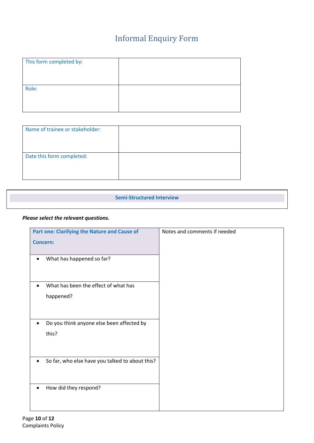# Informal Enquiry Form

<span id="page-9-0"></span>

| This form completed by: |  |
|-------------------------|--|
| Role:                   |  |

| Name of trainee or stakeholder: |  |
|---------------------------------|--|
|                                 |  |
|                                 |  |
|                                 |  |
| Date this form completed:       |  |
|                                 |  |
|                                 |  |
|                                 |  |

#### **Semi-Structured Interview**

#### *Please select the relevant questions.*

| <b>Part one: Clarifying the Nature and Cause of</b>          | Notes and comments if needed |
|--------------------------------------------------------------|------------------------------|
| <b>Concern:</b>                                              |                              |
|                                                              |                              |
| What has happened so far?<br>$\bullet$                       |                              |
|                                                              |                              |
| What has been the effect of what has<br>$\bullet$            |                              |
| happened?                                                    |                              |
|                                                              |                              |
|                                                              |                              |
| Do you think anyone else been affected by<br>$\bullet$       |                              |
| this?                                                        |                              |
|                                                              |                              |
|                                                              |                              |
| So far, who else have you talked to about this?<br>$\bullet$ |                              |
|                                                              |                              |
|                                                              |                              |
| How did they respond?<br>٠                                   |                              |
|                                                              |                              |
|                                                              |                              |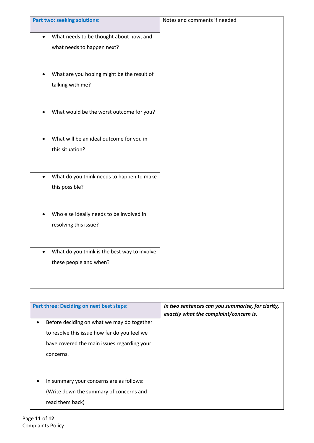| <b>Part two: seeking solutions:</b>                                                 | Notes and comments if needed |
|-------------------------------------------------------------------------------------|------------------------------|
| What needs to be thought about now, and<br>what needs to happen next?               |                              |
| What are you hoping might be the result of<br>talking with me?                      |                              |
| What would be the worst outcome for you?                                            |                              |
| What will be an ideal outcome for you in<br>$\bullet$<br>this situation?            |                              |
| What do you think needs to happen to make<br>this possible?                         |                              |
| Who else ideally needs to be involved in<br>$\bullet$<br>resolving this issue?      |                              |
| What do you think is the best way to involve<br>$\bullet$<br>these people and when? |                              |

| Part three: Deciding on next best steps:     | In two sentences can you summarise, for clarity,<br>exactly what the complaint/concern is. |
|----------------------------------------------|--------------------------------------------------------------------------------------------|
| Before deciding on what we may do together   |                                                                                            |
| to resolve this issue how far do you feel we |                                                                                            |
| have covered the main issues regarding your  |                                                                                            |
| concerns.                                    |                                                                                            |
|                                              |                                                                                            |
|                                              |                                                                                            |
| In summary your concerns are as follows:     |                                                                                            |
| (Write down the summary of concerns and      |                                                                                            |
| read them back)                              |                                                                                            |